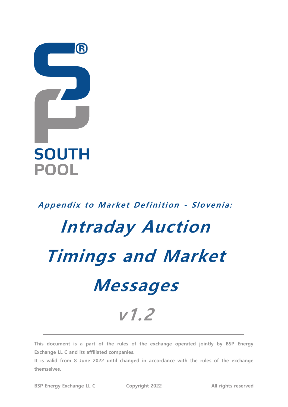

# **Appendix to Market Definition - Slovenia:**

# **Intraday Auction Timings and Market Messages**

# **v1.2**

**This document is a part of the rules of the exchange operated jointly by BSP Energy Exchange LL C and its affiliated companies.**

**It is valid from 8 June 2022 until changed in accordance with the rules of the exchange themselves.**

**BSP Energy Exchange LL C Copyright 2022 All rights reserved**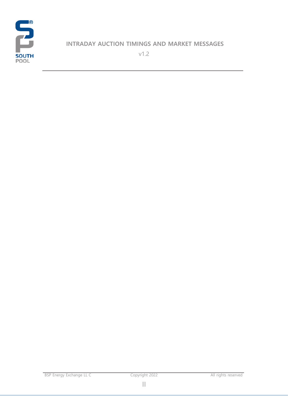

v1.2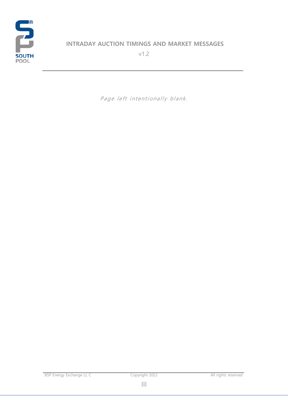

v1.2

Page left intentionally blank.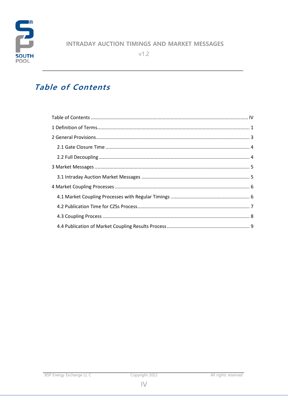

 $v1.2$ 

# <span id="page-3-0"></span>**Table of Contents**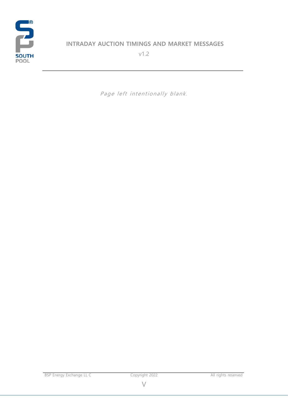

v1.2

Page left intentionally blank.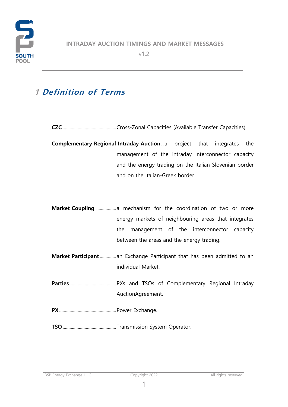

v1.2

# <span id="page-5-0"></span>**1 Definition of Terms**

**CZC** ..............................................Cross-Zonal Capacities (Available Transfer Capacities).

- **Complementary Regional Intraday Auction** .. a project that integrates the management of the intraday interconnector capacity and the energy trading on the Italian-Slovenian border and on the Italian-Greek border.
- **Market Coupling** ..................... mechanism for the coordination of two or more energy markets of neighbouring areas that integrates the management of the interconnector capacity between the areas and the energy trading.
- **Market Participant**..............an Exchange Participant that has been admitted to an individual Market.
- **Parties** ........................................PXs and TSOs of Complementary Regional Intraday AuctionAgreement.
- **PX**.................................................Power Exchange.
- **TSO**..............................................Transmission System Operator.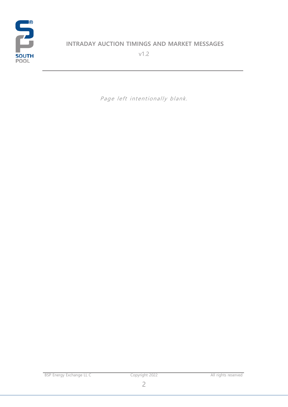

v1.2

Page left intentionally blank.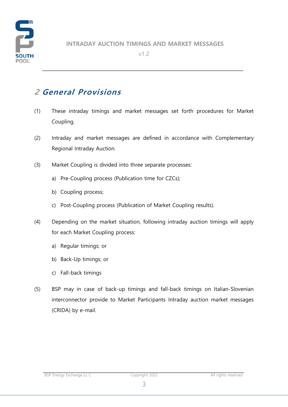

v1.2

# <span id="page-7-0"></span>**2 General Provisions**

- (1) These intraday timings and market messages set forth procedures for Market Coupling.
- (2) Intraday and market messages are defined in accordance with Complementary Regional Intraday Auction.
- (3) Market Coupling is divided into three separate processes:
	- a) Pre-Coupling process (Publication time for CZCs);
	- b) Coupling process;
	- c) Post-Coupling process (Publication of Market Coupling results).
- (4) Depending on the market situation, following intraday auction timings will apply for each Market Coupling process:
	- a) Regular timings; or
	- b) Back-Up timings; or
	- c) Fall-back timings
- (5) BSP may in case of back-up timings and fall-back timings on Italian-Slovenian interconnector provide to Market Participants Intraday auction market messages (CRIDA) by e-mail.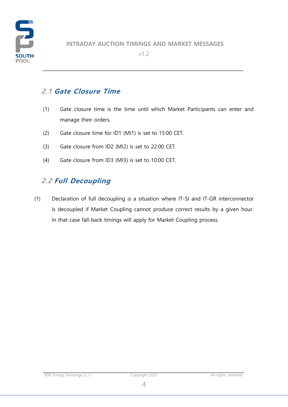

v1.2

# <span id="page-8-0"></span>**2.1 Gate Closure Time**

- (1) Gate closure time is the time until which Market Participants can enter and manage their orders.
- (2) Gate closure time for ID1 (MI1) is set to 15:00 CET.
- (3) Gate closure from ID2 (MI2) is set to 22:00 CET.
- <span id="page-8-1"></span>(4) Gate closure from ID3 (MI3) is set to 10:00 CET.

# **2.2 Full Decoupling**

(1) Declaration of full decoupling is a situation where IT-SI and IT-GR interconnector is decoupled if Market Coupling cannot produce correct results by a given hour. In that case fall-back timings will apply for Market Coupling process.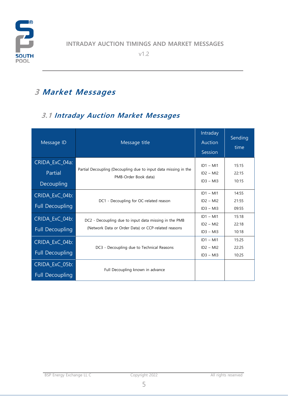

v1.2

# <span id="page-9-0"></span>**3 Market Messages**

# <span id="page-9-1"></span>**3.1 Intraday Auction Market Messages**

| Message ID                               | Message title                                                                                                | Intraday<br>Auction<br>Session            | Sending<br>time         |
|------------------------------------------|--------------------------------------------------------------------------------------------------------------|-------------------------------------------|-------------------------|
| CRIDA_ExC_04a:<br>Partial<br>Decoupling  | Partial Decoupling (Decoupling due to input data missing in the<br>PMB-Order Book data)                      | $ID1 - MI1$<br>$ID2 - MI2$<br>$ID3 - MI3$ | 15:15<br>22:15<br>10:15 |
| CRIDA_ExC_04b:<br><b>Full Decoupling</b> | DC1 - Decoupling for OC-related reason                                                                       | $ID1 - MI1$<br>$ID2 - MI2$<br>$ID3 - MI3$ | 14:55<br>21:55<br>09:55 |
| CRIDA_ExC_04b:<br><b>Full Decoupling</b> | DC2 - Decoupling due to input data missing in the PMB<br>(Network Data or Order Data) or CCP-related reasons | $ID1 - MI1$<br>$ID2 - MI2$<br>$ID3 - MI3$ | 15:18<br>22:18<br>10:18 |
| CRIDA_ExC_04b:<br><b>Full Decoupling</b> | DC3 - Decoupling due to Technical Reasons                                                                    | $ID1 - MI1$<br>$ID2 - MI2$<br>$ID3 - MI3$ | 15:25<br>22:25<br>10:25 |
| CRIDA_ExC_05b:<br><b>Full Decoupling</b> | Full Decoupling known in advance                                                                             |                                           |                         |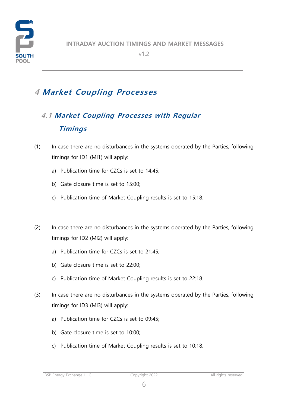

# <span id="page-10-0"></span>**4 Market Coupling Processes**

# <span id="page-10-1"></span>**4.1 Market Coupling Processes with Regular Timings**

- (1) In case there are no disturbances in the systems operated by the Parties, following timings for ID1 (MI1) will apply:
	- a) Publication time for CZCs is set to 14:45;
	- b) Gate closure time is set to 15:00;
	- c) Publication time of Market Coupling results is set to 15:18.
- (2) In case there are no disturbances in the systems operated by the Parties, following timings for ID2 (MI2) will apply:
	- a) Publication time for CZCs is set to 21:45;
	- b) Gate closure time is set to 22:00;
	- c) Publication time of Market Coupling results is set to 22:18.
- (3) In case there are no disturbances in the systems operated by the Parties, following timings for ID3 (MI3) will apply:
	- a) Publication time for CZCs is set to 09:45;
	- b) Gate closure time is set to 10:00;
	- c) Publication time of Market Coupling results is set to 10:18.

#### BSP Energy Exchange LL C Copyright 2022 All rights reserved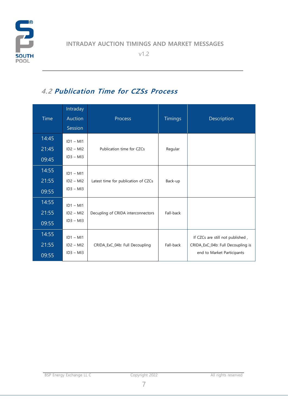

v1.2

# <span id="page-11-0"></span>**4.2 Publication Time for CZSs Process**

<span id="page-11-1"></span>

| <b>Time</b>             | Intraday<br>Auction<br>Session            | Process                             | Timings   | Description                                                                                         |
|-------------------------|-------------------------------------------|-------------------------------------|-----------|-----------------------------------------------------------------------------------------------------|
| 14:45<br>21:45<br>09:45 | $ID1 - MI1$<br>$ID2 - MI2$<br>$ID3 - MI3$ | Publication time for CZCs           | Regular   |                                                                                                     |
| 14:55<br>21:55<br>09:55 | $ID1 - MI1$<br>$ID2 - MI2$<br>$ID3 - MI3$ | Latest time for publication of CZCs | Back-up   |                                                                                                     |
| 14:55<br>21:55<br>09:55 | $ID1 - MI1$<br>$ID2 - MI2$<br>$ID3 - MI3$ | Decupling of CRIDA interconnectors  | Fall-back |                                                                                                     |
| 14:55<br>21:55<br>09:55 | $ID1 - MI1$<br>$ID2 - MI2$<br>$ID3 - MI3$ | CRIDA_ExC_04b: Full Decoupling      | Fall-back | If CZCs are still not published,<br>CRIDA_ExC_04b: Full Decoupling is<br>end to Market Participants |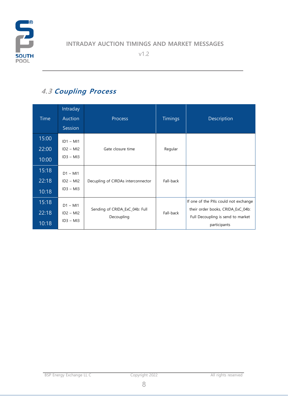

v1.2

# **4.3 Coupling Process**

| <b>Time</b>             | Intraday<br>Auction<br>Session            | <b>Process</b>                               | Timings   | Description                                                                                                                    |
|-------------------------|-------------------------------------------|----------------------------------------------|-----------|--------------------------------------------------------------------------------------------------------------------------------|
| 15:00<br>22:00<br>10:00 | $ID1 - MI1$<br>$ID2 - MI2$<br>$ID3 - MI3$ | Gate closure time                            | Regular   |                                                                                                                                |
| 15:18<br>22:18<br>10:18 | $D1 - M11$<br>$ID2 - MI2$<br>$ID3 - MI3$  | Decupling of CIRDAs interconnector           | Fall-back |                                                                                                                                |
| 15:18<br>22:18<br>10:18 | $D1 - M11$<br>$ID2 - MI2$<br>$ID3 - MI3$  | Sending of CRIDA_ExC_04b: Full<br>Decoupling | Fall-back | If one of the PXs could not exchange<br>their order books, CRIDA ExC 04b:<br>Full Decoupling is send to market<br>participants |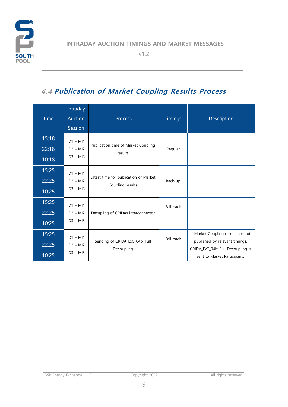

v1.2

# <span id="page-13-0"></span>**4.4 Publication of Market Coupling Results Process**

| <b>Time</b>             | Intraday<br>Auction<br>Session            | <b>Process</b>                                            | Timings   | Description                                                                                                                              |
|-------------------------|-------------------------------------------|-----------------------------------------------------------|-----------|------------------------------------------------------------------------------------------------------------------------------------------|
| 15:18<br>22:18<br>10:18 | $ID1 - MI1$<br>$ID2 - MI2$<br>$ID3 - MI3$ | Publication time of Market Coupling<br>results            | Regular   |                                                                                                                                          |
| 15:25<br>22:25<br>10:25 | $ID1 - MI1$<br>$ID2 - MI2$<br>$ID3 - MI3$ | Latest time for publication of Market<br>Coupling results | Back-up   |                                                                                                                                          |
| 15:25<br>22:25<br>10:25 | $ID1 - MI1$<br>$ID2 - MI2$<br>$ID3 - MI3$ | Decupling of CRIDAs interconnector                        | Fall-back |                                                                                                                                          |
| 15:25<br>22:25<br>10:25 | $ID1 - MI1$<br>$ID2 - MI2$<br>$ID3 - MI3$ | Sending of CRIDA_ExC_04b: Full<br>Decoupling              | Fall-back | If Market Coupling results are not<br>published by relevant timings,<br>CRIDA_ExC_04b: Full Decoupling is<br>sent to Market Participants |